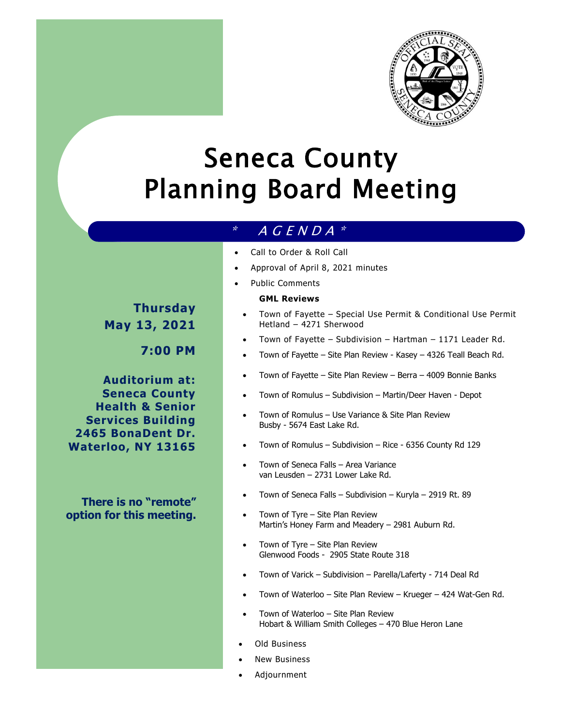

# Seneca County Planning Board Meeting

# $*$  A G E N D A  $*$

- Call to Order & Roll Call
- Approval of April 8, 2021 minutes
- Public Comments

#### **GML Reviews**

- Town of Fayette Special Use Permit & Conditional Use Permit Hetland – 4271 Sherwood
- Town of Fayette Subdivision Hartman 1171 Leader Rd.
- Town of Fayette Site Plan Review Kasey 4326 Teall Beach Rd.
- Town of Fayette Site Plan Review Berra 4009 Bonnie Banks
- Town of Romulus Subdivision Martin/Deer Haven Depot
- Town of Romulus Use Variance & Site Plan Review Busby - 5674 East Lake Rd.
- Town of Romulus Subdivision Rice 6356 County Rd 129
- Town of Seneca Falls Area Variance van Leusden – 2731 Lower Lake Rd.
- Town of Seneca Falls Subdivision Kuryla 2919 Rt. 89
- Town of Tyre Site Plan Review Martin's Honey Farm and Meadery – 2981 Auburn Rd.
- Town of Tyre Site Plan Review Glenwood Foods - 2905 State Route 318
- Town of Varick Subdivision Parella/Laferty 714 Deal Rd
- Town of Waterloo Site Plan Review Krueger 424 Wat-Gen Rd.
- Town of Waterloo Site Plan Review Hobart & William Smith Colleges – 470 Blue Heron Lane
- Old Business
- New Business
- Adjournment

**Thursday May 13, 2021**

**7:00 PM**

**Auditorium at: Seneca County Health & Senior Services Building 2465 BonaDent Dr. Waterloo, NY 13165**

**There is no "remote" option for this meeting.**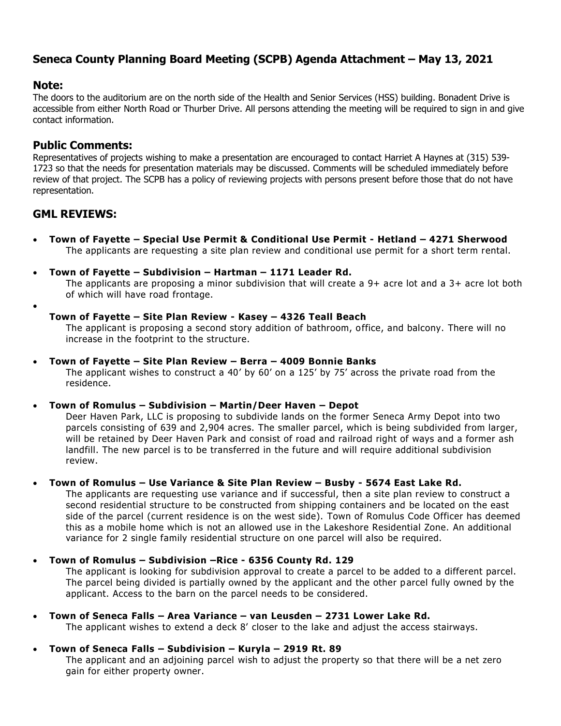# **Seneca County Planning Board Meeting (SCPB) Agenda Attachment – May 13, 2021**

## **Note:**

The doors to the auditorium are on the north side of the Health and Senior Services (HSS) building. Bonadent Drive is accessible from either North Road or Thurber Drive. All persons attending the meeting will be required to sign in and give contact information.

# **Public Comments:**

Representatives of projects wishing to make a presentation are encouraged to contact [Harriet](mailto:hhaynes@co.seneca.ny.us) A Haynes at (315) 539- 1723 so that the needs for presentation materials may be discussed. Comments will be scheduled immediately before review of that project. The SCPB has a policy of reviewing projects with persons present before those that do not have representation.

# **GML REVIEWS:**

- **Town of Fayette – Special Use Permit & Conditional Use Permit - Hetland – 4271 Sherwood**  The applicants are requesting a site plan review and conditional use permit for a short term rental.
- **Town of Fayette – Subdivision – Hartman – 1171 Leader Rd.**

The applicants are proposing a minor subdivision that will create a 9+ acre lot and a 3+ acre lot both of which will have road frontage.

 $\bullet$ 

#### **Town of Fayette – Site Plan Review - Kasey – 4326 Teall Beach**

The applicant is proposing a second story addition of bathroom, office, and balcony. There will no increase in the footprint to the structure.

#### **Town of Fayette – Site Plan Review – Berra – 4009 Bonnie Banks**

The applicant wishes to construct a 40' by 60' on a 125' by 75' across the private road from the residence.

#### **Town of Romulus – Subdivision – Martin/Deer Haven – Depot**

Deer Haven Park, LLC is proposing to subdivide lands on the former Seneca Army Depot into two parcels consisting of 639 and 2,904 acres. The smaller parcel, which is being subdivided from larger, will be retained by Deer Haven Park and consist of road and railroad right of ways and a former ash landfill. The new parcel is to be transferred in the future and will require additional subdivision review.

## **Town of Romulus – Use Variance & Site Plan Review – Busby - 5674 East Lake Rd.**

The applicants are requesting use variance and if successful, then a site plan review to construct a second residential structure to be constructed from shipping containers and be located on the east side of the parcel (current residence is on the west side). Town of Romulus Code Officer has deemed this as a mobile home which is not an allowed use in the Lakeshore Residential Zone. An additional variance for 2 single family residential structure on one parcel will also be required.

#### **Town of Romulus – Subdivision –Rice - 6356 County Rd. 129**

The applicant is looking for subdivision approval to create a parcel to be added to a different parcel. The parcel being divided is partially owned by the applicant and the other parcel fully owned by the applicant. Access to the barn on the parcel needs to be considered.

## **Town of Seneca Falls – Area Variance – van Leusden – 2731 Lower Lake Rd.**

The applicant wishes to extend a deck 8' closer to the lake and adjust the access stairways.

#### **Town of Seneca Falls – Subdivision – Kuryla – 2919 Rt. 89**

The applicant and an adjoining parcel wish to adjust the property so that there will be a net zero gain for either property owner.